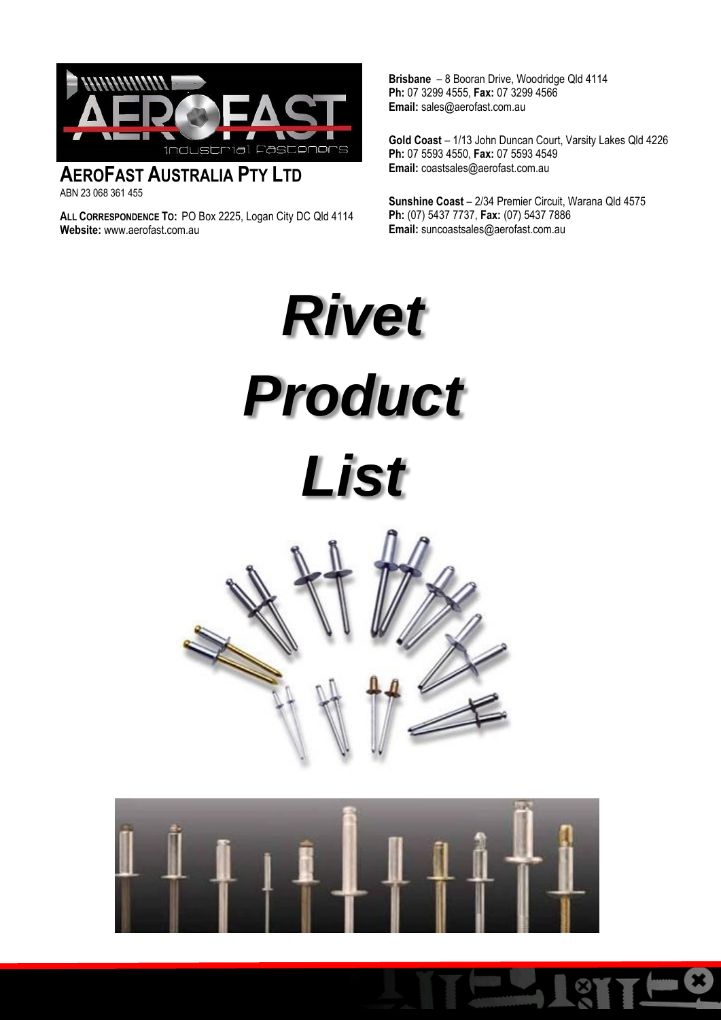

**AEROFAST AUSTRALIA PTY LTD**  ABN 23 068 361 455

**ALL CORRESPONDENCE TO:** PO Box 2225, Logan City DC Qld 4114 **Website:** www.aerofast.com.au

**Brisbane** – 8 Booran Drive, Woodridge Qld 4114 **Ph:** 07 3299 4555, **Fax:** 07 3299 4566 **Email:** sales@aerofast.com.au

**Gold Coast** – 1/13 John Duncan Court, Varsity Lakes Qld 4226 **Ph:** 07 5593 4550, **Fax:** 07 5593 4549 **Email:** coastsales@aerofast.com.au

**Sunshine Coast** – 2/34 Premier Circuit, Warana Qld 4575 **Ph:** (07) 5437 7737, **Fax:** (07) 5437 7886 **Email:** [suncoastsales@aerofast.com.au](mailto:suncoastsales@aerofast.com.au)

*Rivet Product List*



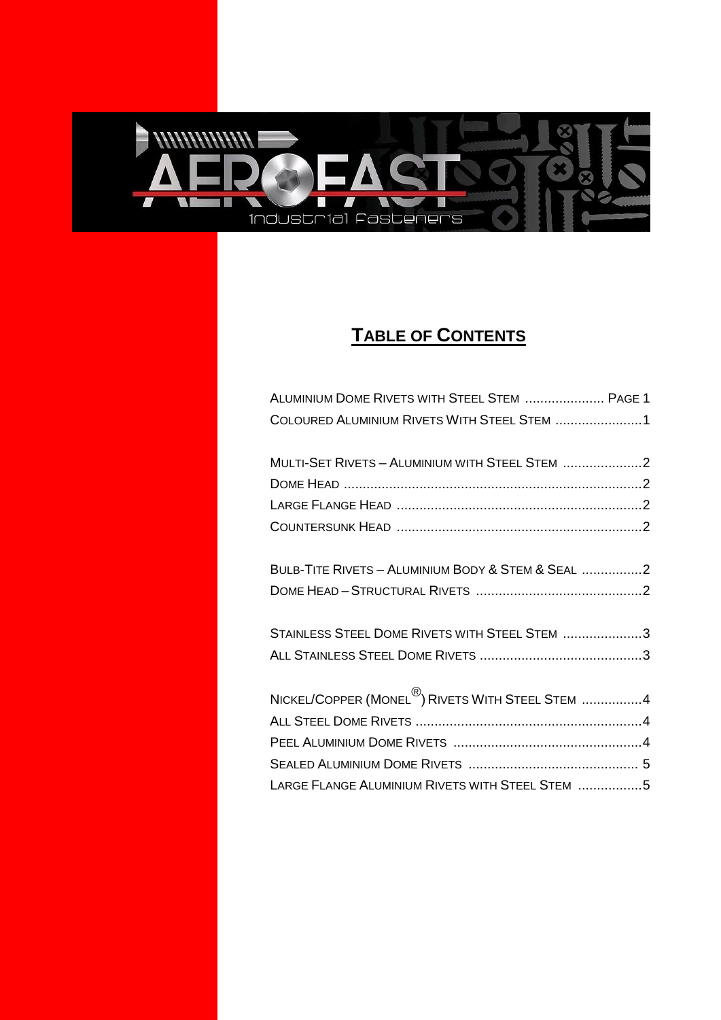<span id="page-1-0"></span>

## **TABLE OF C[ONTENTS](#page-1-0)**

| ALUMINIUM DOME RIVETS WITH STEEL STEM  PAGE 1     |  |
|---------------------------------------------------|--|
| COLOURED ALUMINIUM RIVETS WITH STEEL STEM 1       |  |
| MULTI-SET RIVETS - ALUMINIUM WITH STEEL STEM 2    |  |
|                                                   |  |
|                                                   |  |
|                                                   |  |
| BULB-TITE RIVETS - ALUMINIUM BODY & STEM & SEAL 2 |  |
|                                                   |  |
| STAINLESS STEEL DOME RIVETS WITH STEEL STEM 3     |  |
|                                                   |  |
| NICKEL/COPPER (MONEL ®) RIVETS WITH STEEL STEM 4  |  |
|                                                   |  |
|                                                   |  |
|                                                   |  |
| LARGE FLANGE ALUMINIUM RIVETS WITH STEEL STEM 5   |  |
|                                                   |  |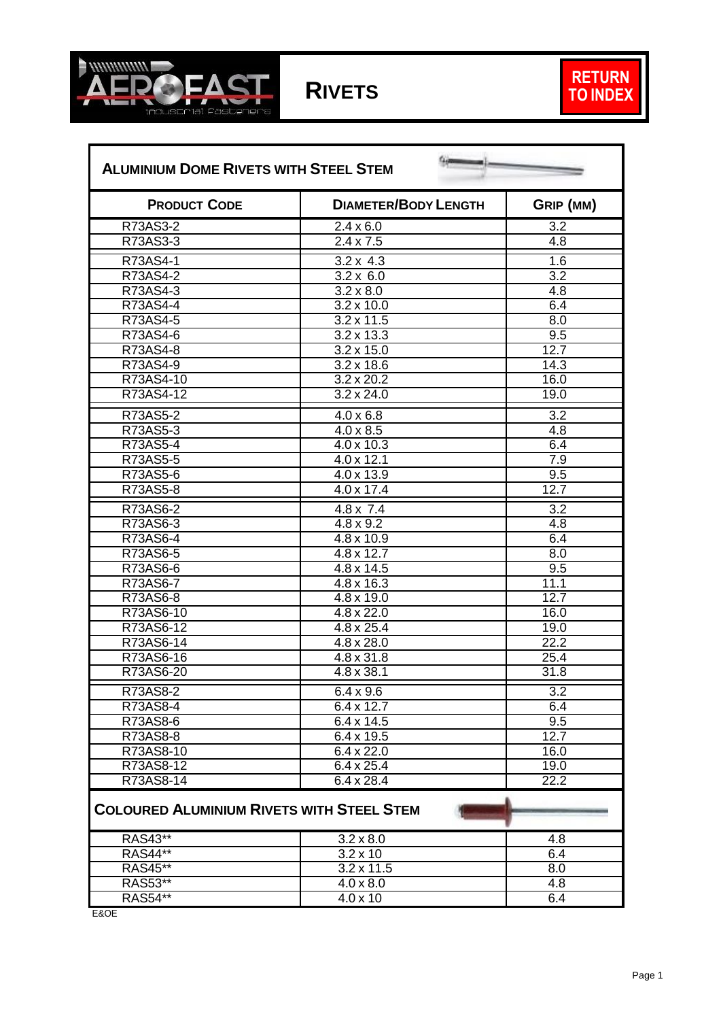



÷

<span id="page-2-1"></span><span id="page-2-0"></span>

| <b>ALUMINIUM DOME RIVETS WITH STEEL STEM</b>     |                             |                  |
|--------------------------------------------------|-----------------------------|------------------|
| <b>PRODUCT CODE</b>                              | <b>DIAMETER/BODY LENGTH</b> | GRIP (MM)        |
| R73AS3-2                                         | $2.4 \times 6.0$            | $\overline{3.2}$ |
| R73AS3-3                                         | $2.4 \times 7.5$            | $\overline{4.8}$ |
| R73AS4-1                                         | $3.2 \times 4.3$            | 1.6              |
| R73AS4-2                                         | $3.2 \times 6.0$            | $\overline{3.2}$ |
| R73AS4-3                                         | $3.2 \times 8.0$            | $\overline{4.8}$ |
| R73AS4-4                                         | $3.2 \times 10.0$           | 6.4              |
| R73AS4-5                                         | $3.2 \times 11.5$           | $\overline{8.0}$ |
| R73AS4-6                                         | $3.2 \times 13.3$           | 9.5              |
| R73AS4-8                                         | $3.2 \times 15.0$           | 12.7             |
| R73AS4-9                                         | $3.2 \times 18.6$           | 14.3             |
| R73AS4-10                                        | $3.2 \times 20.2$           | 16.0             |
| R73AS4-12                                        | $3.2 \times 24.0$           | 19.0             |
| R73AS5-2                                         | $4.0 \times 6.8$            | $\overline{3.2}$ |
| R73AS5-3                                         | $4.0 \times 8.5$            | $\overline{4.8}$ |
| R73AS5-4                                         | 4.0 x 10.3                  | 6.4              |
| R73AS5-5                                         | $4.0 \times 12.1$           | 7.9              |
| R73AS5-6                                         | 4.0 x 13.9                  | $\overline{9.5}$ |
| R73AS5-8                                         | $4.0 \times 17.4$           | 12.7             |
| R73AS6-2                                         | $4.8 \times 7.4$            | $\overline{3.2}$ |
| R73AS6-3                                         | $4.8 \times 9.2$            | 4.8              |
| R73AS6-4                                         | 4.8 x 10.9                  | 6.4              |
| R73AS6-5                                         | 4.8 x 12.7                  | $\overline{8.0}$ |
| R73AS6-6                                         | $4.8 \times 14.5$           | 9.5              |
| R73AS6-7                                         | 4.8 x 16.3                  | 11.1             |
| R73AS6-8                                         | 4.8 x 19.0                  | 12.7             |
| R73AS6-10                                        | $\frac{1}{4.8 \times 22.0}$ | 16.0             |
| R73AS6-12                                        | 4.8 x 25.4                  | 19.0             |
| R73AS6-14                                        | 4.8 x 28.0                  | 22.2             |
| R73AS6-16                                        | 4.8 x 31.8                  | 25.4             |
| R73AS6-20                                        | 4.8 x 38.1                  | 31.8             |
| R73AS8-2                                         | $6.4 \times 9.6$            | $\overline{3.2}$ |
| R73AS8-4                                         | 6.4 x 12.7                  | 6.4              |
| R73AS8-6                                         | 6.4 x 14.5                  | 9.5              |
| R73AS8-8                                         | 6.4 x 19.5                  | 12.7             |
| R73AS8-10                                        | $6.4 \times 22.0$           | 16.0             |
| R73AS8-12                                        | $6.4 \times 25.4$           | 19.0             |
| R73AS8-14                                        | $6.4 \times 28.4$           | 22.2             |
| <b>COLOURED ALUMINIUM RIVETS WITH STEEL STEM</b> |                             |                  |
| <b>RAS43**</b>                                   | $3.2 \times 8.0$            | 4.8              |
| <b>RAS44**</b>                                   | $3.2 \times 10$             | 6.4              |
| RAS45**                                          | $3.2 \times 11.5$           | 8.0              |
| RAS53**                                          | $4.0 \times 8.0$            | 4.8              |
| <b>RAS54**</b>                                   | $4.0 \times 10$             | 6.4              |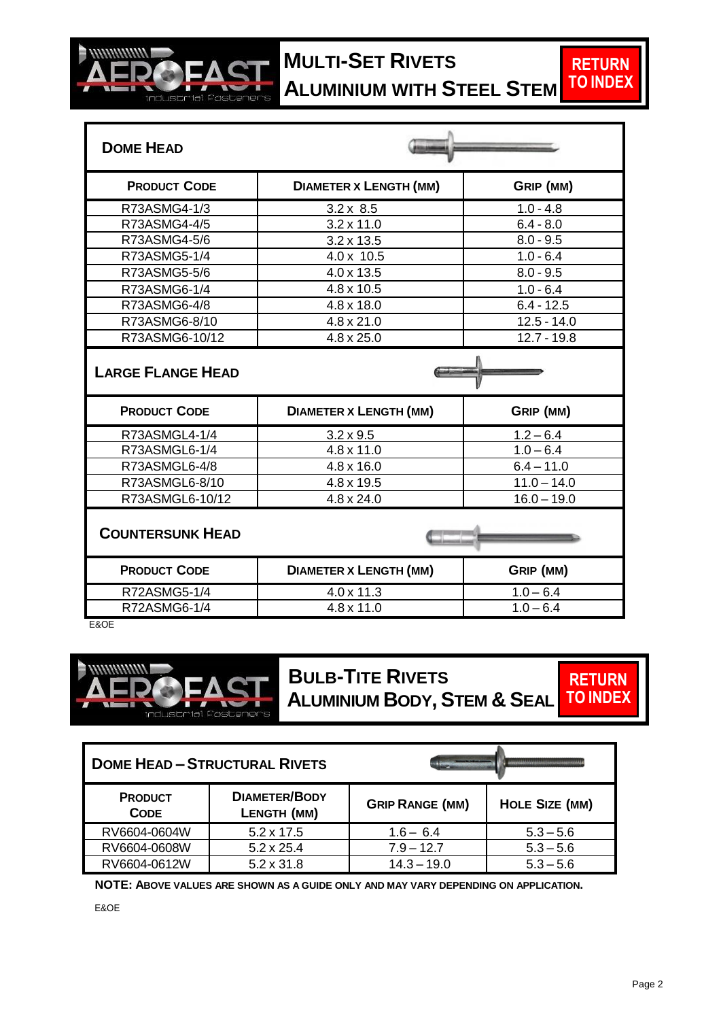<span id="page-3-0"></span>

## **EAST MULTI-SET RIVETS ALUMINIUM WITH STEEL STEM**

<span id="page-3-3"></span><span id="page-3-2"></span><span id="page-3-1"></span>

| <b>DOME HEAD</b>         |                               |               |  |
|--------------------------|-------------------------------|---------------|--|
| <b>PRODUCT CODE</b>      | <b>DIAMETER X LENGTH (MM)</b> | GRIP (MM)     |  |
| R73ASMG4-1/3             | $3.2 \times 8.5$              | $1.0 - 4.8$   |  |
| R73ASMG4-4/5             | $3.2 \times 11.0$             | $6.4 - 8.0$   |  |
| R73ASMG4-5/6             | $3.2 \times 13.5$             | $8.0 - 9.5$   |  |
| R73ASMG5-1/4             | 4.0 x 10.5                    | $1.0 - 6.4$   |  |
| R73ASMG5-5/6             | 4.0 x 13.5                    | $8.0 - 9.5$   |  |
| R73ASMG6-1/4             | 4.8 x 10.5                    | $1.0 - 6.4$   |  |
| R73ASMG6-4/8             | 4.8 x 18.0                    | $6.4 - 12.5$  |  |
| R73ASMG6-8/10            | $4.8 \times 21.0$             | $12.5 - 14.0$ |  |
| R73ASMG6-10/12           | $4.8 \times 25.0$             | $12.7 - 19.8$ |  |
|                          |                               |               |  |
| <b>LARGE FLANGE HEAD</b> |                               |               |  |
| <b>PRODUCT CODE</b>      | <b>DIAMETER X LENGTH (MM)</b> | GRIP (MM)     |  |
| R73ASMGL4-1/4            | $3.2 \times 9.5$              | $1.2 - 6.4$   |  |
| R73ASMGL6-1/4            | $4.8 \times 11.0$             | $1.0 - 6.4$   |  |
| R73ASMGL6-4/8            | 4.8 x 16.0                    | $6.4 - 11.0$  |  |
| R73ASMGL6-8/10           | 4.8 x 19.5                    | $11.0 - 14.0$ |  |
| R73ASMGL6-10/12          | $4.8 \times 24.0$             | $16.0 - 19.0$ |  |
| <b>COUNTERSUNK HEAD</b>  |                               |               |  |
| <b>PRODUCT CODE</b>      | <b>DIAMETER X LENGTH (MM)</b> | GRIP (MM)     |  |
| R72ASMG5-1/4             | 4.0 x 11.3                    | $1.0 - 6.4$   |  |

<span id="page-3-4"></span>E&OE

<span id="page-3-5"></span>

 **BULB-TITE RIVETS** 

<span id="page-3-6"></span> **ALUMINIUM BODY,STEM & SEAL**



<span id="page-3-7"></span>

| <b>DOME HEAD - STRUCTURAL RIVETS</b> |                                     |                        | ******************** |
|--------------------------------------|-------------------------------------|------------------------|----------------------|
| <b>PRODUCT</b><br><b>CODE</b>        | <b>DIAMETER/BODY</b><br>LENGTH (MM) | <b>GRIP RANGE (MM)</b> | HOLE SIZE (MM)       |
| RV6604-0604W                         | $5.2 \times 17.5$                   | $1.6 - 6.4$            | $5.3 - 5.6$          |
| RV6604-0608W                         | $5.2 \times 25.4$                   | $7.9 - 12.7$           | $5.3 - 5.6$          |
| RV6604-0612W                         | $5.2 \times 31.8$                   | $14.3 - 19.0$          | $5.3 - 5.6$          |

 **NOTE: ABOVE VALUES ARE SHOWN AS A GUIDE ONLY AND MAY VARY DEPENDING ON APPLICATION.**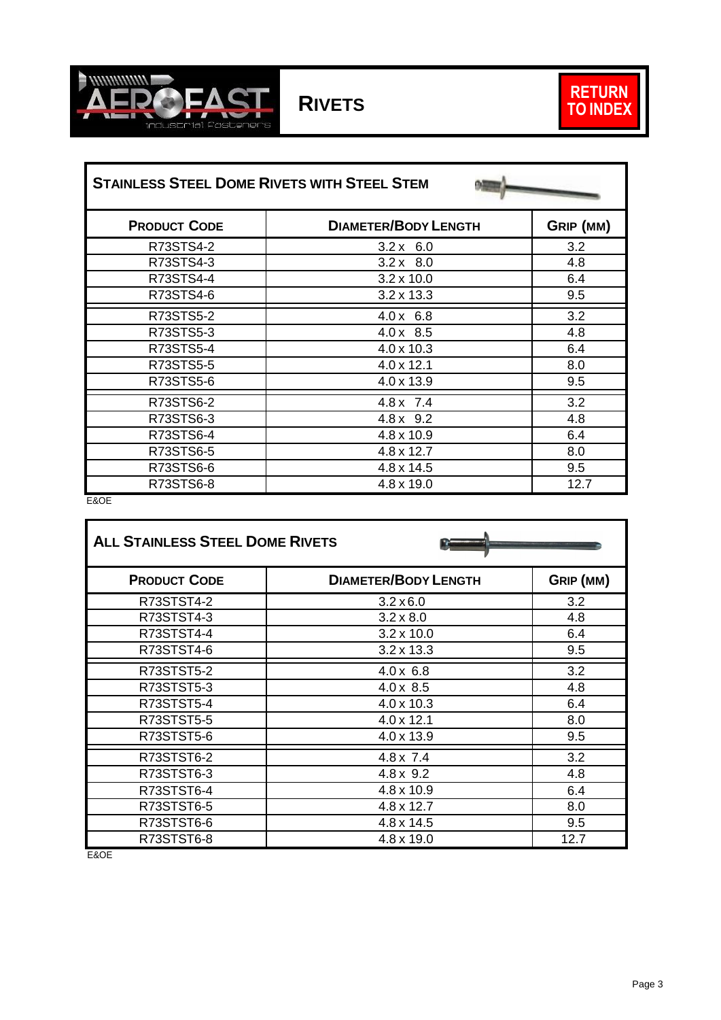

<span id="page-4-0"></span>

| <b>STAINLESS STEEL DOME RIVETS WITH STEEL STEM</b> |                             |           |
|----------------------------------------------------|-----------------------------|-----------|
| <b>PRODUCT CODE</b>                                | <b>DIAMETER/BODY LENGTH</b> | GRIP (MM) |
| R73STS4-2                                          | $3.2 \times 6.0$            | 3.2       |
| R73STS4-3                                          | $3.2 \times 8.0$            | 4.8       |
| R73STS4-4                                          | $3.2 \times 10.0$           | 6.4       |
| R73STS4-6                                          | $3.2 \times 13.3$           | 9.5       |
| R73STS5-2                                          | $4.0 \times 6.8$            | 3.2       |
| R73STS5-3                                          | $4.0 \times 8.5$            | 4.8       |
| R73STS5-4                                          | 4.0 x 10.3                  | 6.4       |
| R73STS5-5                                          | $4.0 \times 12.1$           | 8.0       |
| R73STS5-6                                          | 4.0 x 13.9                  | 9.5       |
| R73STS6-2                                          | $4.8 \times 7.4$            | 3.2       |
| R73STS6-3                                          | $4.8 \times 9.2$            | 4.8       |
| R73STS6-4                                          | 4.8 x 10.9                  | 6.4       |
| R73STS6-5                                          | 4.8 x 12.7                  | 8.0       |
| R73STS6-6                                          | $4.8 \times 14.5$           | 9.5       |
| R73STS6-8                                          | 4.8 x 19.0                  | 12.7      |

E&OE

<span id="page-4-1"></span>

| <b>ALL STAINLESS STEEL DOME RIVETS</b> |                             |           |
|----------------------------------------|-----------------------------|-----------|
| <b>PRODUCT CODE</b>                    | <b>DIAMETER/BODY LENGTH</b> | GRIP (MM) |
| R73STST4-2                             | $3.2 \times 6.0$            | 3.2       |
| R73STST4-3                             | $3.2 \times 8.0$            | 4.8       |
| R73STST4-4                             | $3.2 \times 10.0$           | 6.4       |
| R73STST4-6                             | $3.2 \times 13.3$           | 9.5       |
| <b>R73STST5-2</b>                      | $4.0 \times 6.8$            | 3.2       |
| R73STST5-3                             | $4.0 \times 8.5$            | 4.8       |
| R73STST5-4                             | 4.0 x 10.3                  | 6.4       |
| <b>R73STST5-5</b>                      | $4.0 \times 12.1$           | 8.0       |
| R73STST5-6                             | 4.0 x 13.9                  | 9.5       |
| R73STST6-2                             | $4.8 \times 7.4$            | 3.2       |
| R73STST6-3                             | $4.8 \times 9.2$            | 4.8       |
| R73STST6-4                             | 4.8 x 10.9                  | 6.4       |
| R73STST6-5                             | 4.8 x 12.7                  | 8.0       |
| R73STST6-6                             | 4.8 x 14.5                  | 9.5       |
| R73STST6-8                             | 4.8 x 19.0                  | 12.7      |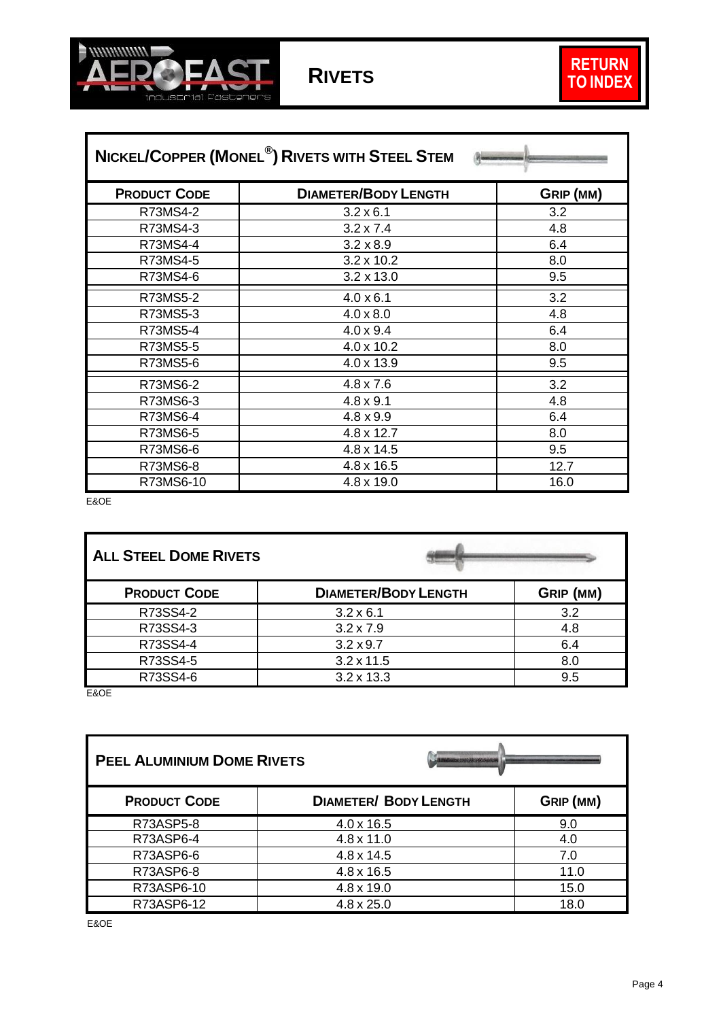

| NICKEL/COPPER (MONEL <sup>®</sup> ) RIVETS WITH STEEL STEM |                             |           |
|------------------------------------------------------------|-----------------------------|-----------|
| <b>PRODUCT CODE</b>                                        | <b>DIAMETER/BODY LENGTH</b> | GRIP (MM) |
| R73MS4-2                                                   | $3.2 \times 6.1$            | 3.2       |
| R73MS4-3                                                   | $3.2 \times 7.4$            | 4.8       |
| R73MS4-4                                                   | $3.2 \times 8.9$            | 6.4       |
| R73MS4-5                                                   | $3.2 \times 10.2$           | 8.0       |
| R73MS4-6                                                   | $3.2 \times 13.0$           | 9.5       |
| R73MS5-2                                                   | $4.0 \times 6.1$            | 3.2       |
| R73MS5-3                                                   | $4.0 \times 8.0$            | 4.8       |
| R73MS5-4                                                   | $4.0 \times 9.4$            | 6.4       |
| R73MS5-5                                                   | 4.0 x 10.2                  | 8.0       |
| R73MS5-6                                                   | 4.0 x 13.9                  | 9.5       |
| R73MS6-2                                                   | $4.8 \times 7.6$            | 3.2       |
| R73MS6-3                                                   | $4.8 \times 9.1$            | 4.8       |
| R73MS6-4                                                   | $4.8 \times 9.9$            | 6.4       |
| R73MS6-5                                                   | 4.8 x 12.7                  | 8.0       |
| R73MS6-6                                                   | 4.8 x 14.5                  | 9.5       |
| R73MS6-8                                                   | 4.8 x 16.5                  | 12.7      |
| R73MS6-10                                                  | 4.8 x 19.0                  | 16.0      |

E&OE

<span id="page-5-0"></span>F

<span id="page-5-1"></span>

| <b>ALL STEEL DOME RIVETS</b> |                             |           |
|------------------------------|-----------------------------|-----------|
| <b>PRODUCT CODE</b>          | <b>DIAMETER/BODY LENGTH</b> | GRIP (MM) |
| R73SS4-2                     | $3.2 \times 6.1$            | 3.2       |
| R73SS4-3                     | $3.2 \times 7.9$            | 4.8       |
| R73SS4-4                     | $3.2 \times 9.7$            | 6.4       |
| R73SS4-5                     | $3.2 \times 11.5$           | 8.0       |
| R73SS4-6                     | $3.2 \times 13.3$           | 9.5       |

E&OE

<span id="page-5-2"></span>

| <b>PEEL ALUMINIUM DOME RIVETS</b> | 050319903486946330000        |           |
|-----------------------------------|------------------------------|-----------|
| <b>PRODUCT CODE</b>               | <b>DIAMETER/ BODY LENGTH</b> | GRIP (MM) |
| R73ASP5-8                         | $4.0 \times 16.5$            | 9.0       |
| R73ASP6-4                         | $4.8 \times 11.0$            | 4.0       |
| R73ASP6-6                         | $4.8 \times 14.5$            | 7.0       |
| R73ASP6-8                         | $4.8 \times 16.5$            | 11.0      |
| R73ASP6-10                        | 4.8 x 19.0                   | 15.0      |
| R73ASP6-12                        | $4.8 \times 25.0$            | 18.0      |